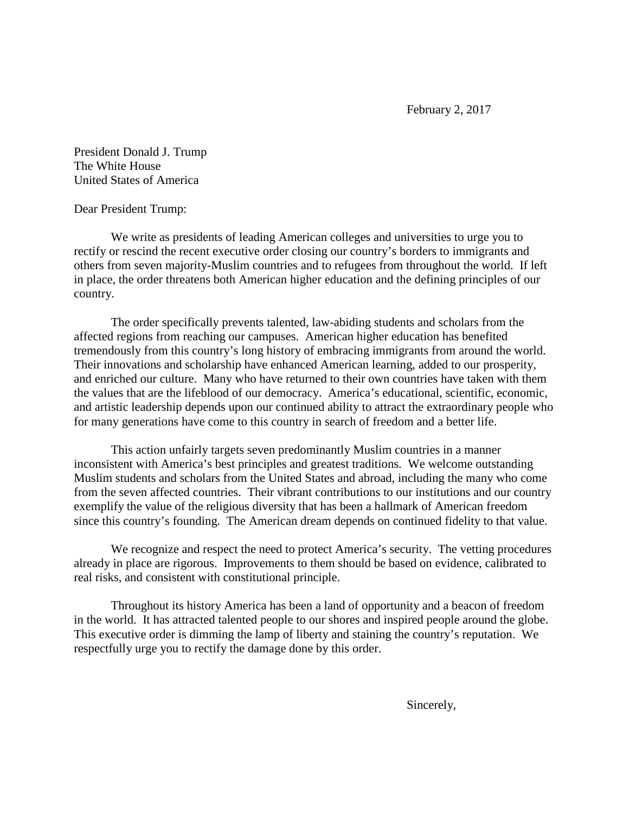February 2, 2017

President Donald J. Trump The White House United States of America

Dear President Trump:

We write as presidents of leading American colleges and universities to urge you to rectify or rescind the recent executive order closing our country's borders to immigrants and others from seven majority-Muslim countries and to refugees from throughout the world. If left in place, the order threatens both American higher education and the defining principles of our country.

The order specifically prevents talented, law-abiding students and scholars from the affected regions from reaching our campuses. American higher education has benefited tremendously from this country's long history of embracing immigrants from around the world. Their innovations and scholarship have enhanced American learning, added to our prosperity, and enriched our culture. Many who have returned to their own countries have taken with them the values that are the lifeblood of our democracy. America's educational, scientific, economic, and artistic leadership depends upon our continued ability to attract the extraordinary people who for many generations have come to this country in search of freedom and a better life.

This action unfairly targets seven predominantly Muslim countries in a manner inconsistent with America's best principles and greatest traditions. We welcome outstanding Muslim students and scholars from the United States and abroad, including the many who come from the seven affected countries. Their vibrant contributions to our institutions and our country exemplify the value of the religious diversity that has been a hallmark of American freedom since this country's founding. The American dream depends on continued fidelity to that value.

We recognize and respect the need to protect America's security. The vetting procedures already in place are rigorous. Improvements to them should be based on evidence, calibrated to real risks, and consistent with constitutional principle.

Throughout its history America has been a land of opportunity and a beacon of freedom in the world. It has attracted talented people to our shores and inspired people around the globe. This executive order is dimming the lamp of liberty and staining the country's reputation. We respectfully urge you to rectify the damage done by this order.

Sincerely,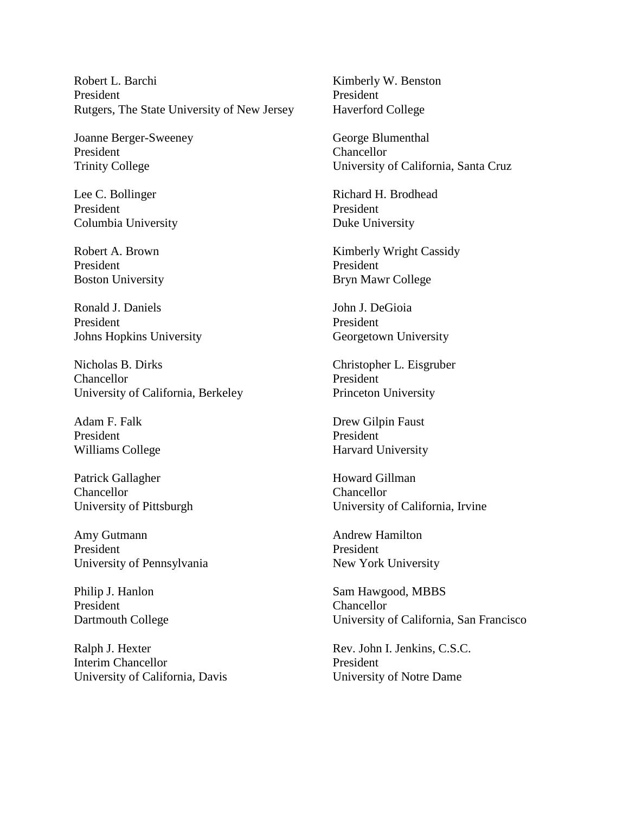Robert L. Barchi President Rutgers, The State University of New Jersey

Joanne Berger-Sweeney President Trinity College

Lee C. Bollinger President Columbia University

Robert A. Brown President Boston University

Ronald J. Daniels President Johns Hopkins University

Nicholas B. Dirks Chancellor University of California, Berkeley

Adam F. Falk President Williams College

Patrick Gallagher Chancellor University of Pittsburgh

Amy Gutmann President University of Pennsylvania

Philip J. Hanlon President Dartmouth College

Ralph J. Hexter Interim Chancellor University of California, Davis Kimberly W. Benston President Haverford College

George Blumenthal **Chancellor** University of California, Santa Cruz

Richard H. Brodhead President Duke University

Kimberly Wright Cassidy President Bryn Mawr College

John J. DeGioia President Georgetown University

Christopher L. Eisgruber President Princeton University

Drew Gilpin Faust President Harvard University

Howard Gillman Chancellor University of California, Irvine

Andrew Hamilton President New York University

Sam Hawgood, MBBS Chancellor University of California, San Francisco

Rev. John I. Jenkins, C.S.C. President University of Notre Dame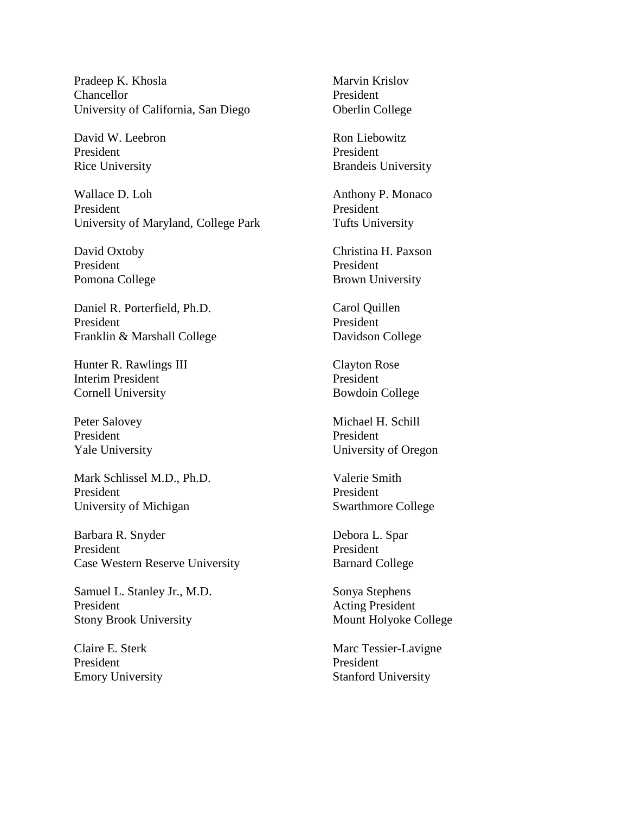Pradeep K. Khosla Chancellor University of California, San Diego

David W. Leebron President Rice University

Wallace D. Loh President University of Maryland, College Park

David Oxtoby President Pomona College

Daniel R. Porterfield, Ph.D. President Franklin & Marshall College

Hunter R. Rawlings III Interim President Cornell University

Peter Salovey President Yale University

Mark Schlissel M.D., Ph.D. President University of Michigan

Barbara R. Snyder President Case Western Reserve University

Samuel L. Stanley Jr., M.D. President Stony Brook University

Claire E. Sterk President Emory University Marvin Krislov President Oberlin College

Ron Liebowitz President Brandeis University

Anthony P. Monaco President Tufts University

Christina H. Paxson President Brown University

Carol Quillen President Davidson College

Clayton Rose President Bowdoin College

Michael H. Schill President University of Oregon

Valerie Smith President Swarthmore College

Debora L. Spar President Barnard College

Sonya Stephens Acting President Mount Holyoke College

Marc Tessier-Lavigne President Stanford University